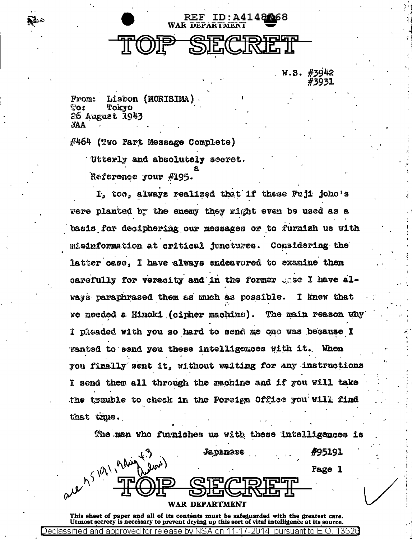

W.S. #3942

Lisbon (MORISIMA) From:  $\mathbb{T}$ o: Tokyo 26 August 1943 **AA** 

#464 (Two Part Message Complete) Utterly and absolutely secret.

Reference your #195.

I, too, always realized that if these Fuji joho's were planted by the enemy they might even be used as a basis for deciphering our messages or to furnish us with misinformation at critical junctures. Considering the latter case, I have always endeavored to examine them carefully for veracity and in the former unse I have always paraphrased them as much as possible. I knew that we needed a Hinoki (cipher machine). The main reason why I pleaded with you so hard to send me one was because I wanted to send you these intelligences with it. When you finally sent it, without waiting for any instructions I send them all through the machine and if you will take the trauble to check in the Foreign Office you will find that true.

|               |                                               | The man who furnishes us with these intelligences is |                      |  |        |  |
|---------------|-----------------------------------------------|------------------------------------------------------|----------------------|--|--------|--|
|               |                                               |                                                      | Japanese             |  | #95191 |  |
|               | $(i_{\alpha\alpha}^{\prime},i_{\alpha\beta})$ |                                                      |                      |  | Page 1 |  |
| N             |                                               |                                                      | ונפורי $\alpha$ יזוש |  |        |  |
| $\mathcal{M}$ |                                               |                                                      |                      |  |        |  |
|               |                                               | WAR                                                  | <b>DEPARTMENT</b>    |  |        |  |

This sheet of paper and all of its contents must be safeguarded with the greatest care. Utmost secrecy is necessary to prevent drying up this sort of vital intelligence at its source. Declass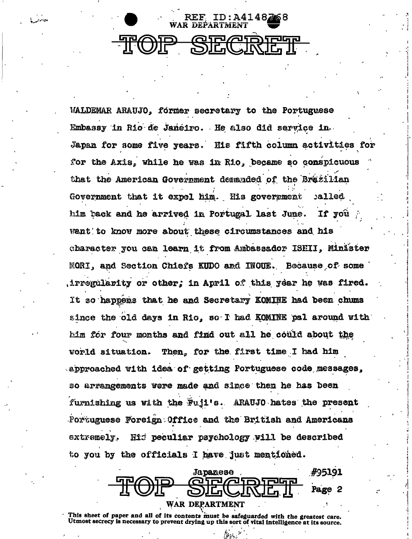

WALDEMAR ARAUJO, former secretary to the Portuguese Embassy in Rio de Janeiro. He also did service in Japan for some five years. His fifth column activities for for the Axis, while he was in Rio, became so conspicuous that the American Government demanded of the Brazilian Government that it expel him. His government called him back and he arrived in Portugal last June. If vou Want to know more about these circumstances and his character you can learn it from Ambassador ISHII, Minister MORI, and Section Chiefs KUDO and INOUE. Because of some irregularity or other; in April of this year he was fired. It so happens that he and Secretary KOMINE had been chums since the old days in Rio. so I had KOMINE pal around with him for four months and find out all he could about the world situation. Then, for the first time I had him approached with idea of getting Portuguese code messages, so arrangements were made and since then he has been furnishing us with the Fuji's. ARAUJO hates the present Portuguese Foreign Office and the British and Americans Hid peculiar psychology will be described extremely. to you by the officials I have just mentioned.



This sheet of paper and all of its contents must be safeguarded with the greatest care. Utmost secrecy is necessary to prevent drying up this sort of vital intelligence at its source.